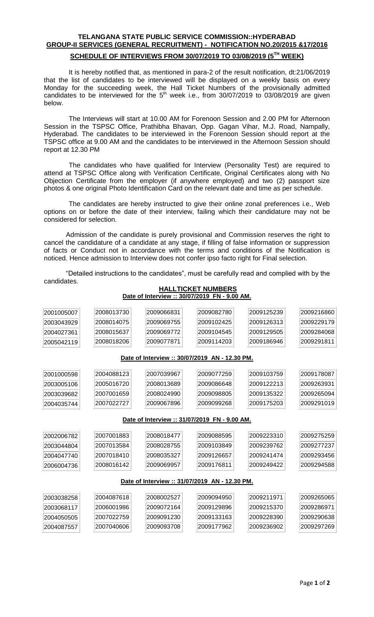## **TELANGANA STATE PUBLIC SERVICE COMMISSION::HYDERABAD GROUP-II SERVICES (GENERAL RECRUITMENT) - NOTIFICATION NO.20/2015 &17/2016**

### **SCHEDULE OF INTERVIEWS FROM 30/07/2019 TO 03/08/2019 (5 TH WEEK)**

It is hereby notified that, as mentioned in para-2 of the result notification, dt:21/06/2019 that the list of candidates to be interviewed will be displayed on a weekly basis on every Monday for the succeeding week, the Hall Ticket Numbers of the provisionally admitted candidates to be interviewed for the  $5<sup>th</sup>$  week i.e., from 30/07/2019 to 03/08/2019 are given below.

The Interviews will start at 10.00 AM for Forenoon Session and 2.00 PM for Afternoon Session in the TSPSC Office, Prathibha Bhavan, Opp. Gagan Vihar, M.J. Road, Nampally, Hyderabad. The candidates to be interviewed in the Forenoon Session should report at the TSPSC office at 9.00 AM and the candidates to be interviewed in the Afternoon Session should report at 12.30 PM

The candidates who have qualified for Interview (Personality Test) are required to attend at TSPSC Office along with Verification Certificate, Original Certificates along with No Objection Certificate from the employer (if anywhere employed) and two (2) passport size photos & one original Photo Identification Card on the relevant date and time as per schedule.

The candidates are hereby instructed to give their online zonal preferences i.e., Web options on or before the date of their interview, failing which their candidature may not be considered for selection.

Admission of the candidate is purely provisional and Commission reserves the right to cancel the candidature of a candidate at any stage, if filling of false information or suppression of facts or Conduct not in accordance with the terms and conditions of the Notification is noticed. Hence admission to Interview does not confer ipso facto right for Final selection.

"Detailed instructions to the candidates", must be carefully read and complied with by the candidates.

### **HALLTICKET NUMBERS Date of Interview :: 30/07/2019 FN - 9.00 AM.**

| 2001005007                                     | 2008013730 | 2009066831 | 2009082780                                     | 2009125239 | 2009216860 |  |  |  |  |  |
|------------------------------------------------|------------|------------|------------------------------------------------|------------|------------|--|--|--|--|--|
| 2003043929                                     | 2008014075 | 2009069755 | 2009102425                                     | 2009126313 | 2009229179 |  |  |  |  |  |
| 2004027361                                     | 2008015637 | 2009069772 | 2009104545                                     | 2009129505 | 2009284068 |  |  |  |  |  |
| 2005042119                                     | 2008018206 | 2009077871 | 2009114203                                     | 2009186946 | 2009291811 |  |  |  |  |  |
|                                                |            |            |                                                |            |            |  |  |  |  |  |
|                                                |            |            | Date of Interview :: 30/07/2019 AN - 12.30 PM. |            |            |  |  |  |  |  |
| 2001000598                                     | 2004088123 | 2007039967 | 2009077259                                     | 2009103759 | 2009178087 |  |  |  |  |  |
| 2003005106                                     | 2005016720 | 2008013689 | 2009086648                                     | 2009122213 | 2009263931 |  |  |  |  |  |
| 2003039682                                     | 2007001659 | 2008024990 | 2009098805                                     | 2009135322 | 2009265094 |  |  |  |  |  |
| 2004035744                                     | 2007022727 | 2009067896 | 2009099268                                     | 2009175203 | 2009291019 |  |  |  |  |  |
|                                                |            |            |                                                |            |            |  |  |  |  |  |
|                                                |            |            | Date of Interview :: 31/07/2019 FN - 9.00 AM.  |            |            |  |  |  |  |  |
| 2002006782                                     | 2007001883 | 2008018477 | 2009088595                                     | 2009223310 | 2009275259 |  |  |  |  |  |
| 2003044804                                     | 2007013584 | 2008028755 | 2009103849                                     | 2009239762 | 2009277237 |  |  |  |  |  |
| 2004047740                                     | 2007018410 | 2008035327 | 2009126657                                     | 2009241474 | 2009293456 |  |  |  |  |  |
| 2006004736                                     | 2008016142 | 2009069957 | 2009176811                                     | 2009249422 | 2009294588 |  |  |  |  |  |
| Date of Interview :: 31/07/2019 AN - 12.30 PM. |            |            |                                                |            |            |  |  |  |  |  |
|                                                |            |            |                                                |            |            |  |  |  |  |  |
| 2003038258                                     | 2004087618 | 2008002527 | 2009094950                                     | 2009211971 | 2009265065 |  |  |  |  |  |
| 2003068117                                     | 2006001986 | 2009072164 | 2009129896                                     | 2009215370 | 2009286971 |  |  |  |  |  |
| 2004050505                                     | 2007022759 | 2009091230 | 2009133163                                     | 2009228390 | 2009290638 |  |  |  |  |  |
| 2004087557                                     | 2007040606 | 2009093708 | 2009177962                                     | 2009236902 | 2009297269 |  |  |  |  |  |